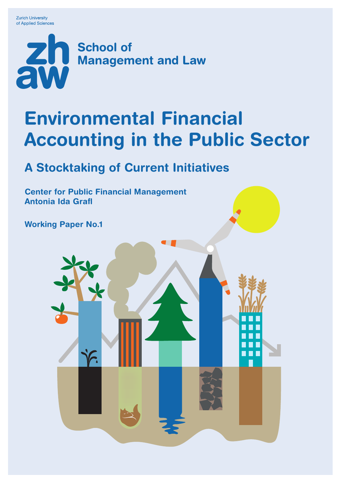**Zurich University** of Applied Sciences



# Environmental Financial Accounting in the Public Sector

## A Stocktaking of Current Initiatives

Center for Public Financial Management Antonia Ida Grafl

Working Paper No.1

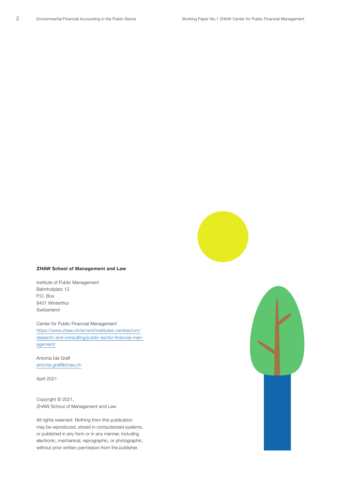

#### ZHAW School of Management and Law

Institute of Public Management Bahnhofplatz 12 P.O. Box 8401 Winterthur Switzerland

Center for Public Financial Management https://www.zhaw.ch/en/sml/institutes-centres/ivm/ research-and-consulting/public-sector-financial-management/

Antonia Ida Grafl antonia.grafl@zhaw.ch

April 2021

Copyright © 2021, ZHAW School of Management and Law

All rights reserved. Nothing from this publication may be reproduced, stored in computerized systems, or published in any form or in any manner, including electronic, mechanical, reprographic, or photographic, without prior written permission from the publisher.

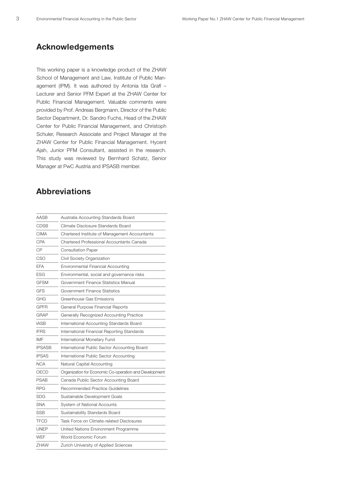## Acknowledgements

This working paper is a knowledge product of the ZHAW School of Management and Law, Institute of Public Management (IPM). It was authored by Antonia Ida Grafl – Lecturer and Senior PFM Expert at the ZHAW Center for Public Financial Management. Valuable comments were provided by Prof. Andreas Bergmann, Director of the Public Sector Department, Dr. Sandro Fuchs, Head of the ZHAW Center for Public Financial Management, and Christoph Schuler, Research Associate and Project Manager at the ZHAW Center for Public Financial Management. Hycent Ajah, Junior PFM Consultant, assisted in the research. This study was reviewed by Bernhard Schatz, Senior Manager at PwC Austria and IPSASB member.

## Abbreviations

| <b>AASB</b>   | Australia Accounting Standards Board                   |
|---------------|--------------------------------------------------------|
| CDSB          | Climate Disclosure Standards Board                     |
| <b>CIMA</b>   | Chartered Institute of Management Accountants          |
| CPA           | Chartered Professional Accountants Canada              |
| CP            | <b>Consultation Paper</b>                              |
| CSO           | Civil Society Organization                             |
| EFA           | Environmental Financial Accounting                     |
| <b>ESG</b>    | Environmental, social and governance risks             |
| <b>GFSM</b>   | Government Finance Statistics Manual                   |
| <b>GFS</b>    | Government Finance Statistics                          |
| GHG           | Greenhouse Gas Emissions                               |
| <b>GPFR</b>   | General Purpose Financial Reports                      |
| GRAP          | Generally Recognized Accounting Practice               |
| <b>IASB</b>   | International Accounting Standards Board               |
| <b>IFRS</b>   | International Financial Reporting Standards            |
| IMF           | International Monetary Fund                            |
| <b>IPSASB</b> | International Public Sector Accounting Board           |
| <b>IPSAS</b>  | International Public Sector Accounting                 |
| <b>NCA</b>    | Natural Capital Accounting                             |
| OECD          | Organization for Economic Co-operation and Development |
| PSAB          | Canada Public Sector Accounting Board                  |
| <b>RPG</b>    | Recommended Practice Guidelines                        |
| <b>SDG</b>    | Sustainable Development Goals                          |
| <b>SNA</b>    | System of National Accounts                            |
| <b>SSB</b>    | Sustainability Standards Board                         |
| <b>TFCD</b>   | Task Force on Climate-related Disclosures              |
| UNEP          | United Nations Environment Programme                   |
| WEF           | World Economic Forum                                   |
| <b>ZHAW</b>   | Zurich University of Applied Sciences                  |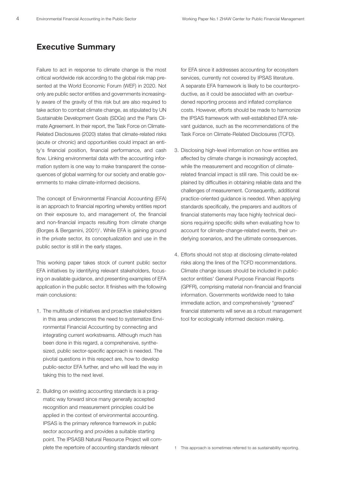## Executive Summary

Failure to act in response to climate change is the most critical worldwide risk according to the global risk map presented at the World Economic Forum (WEF) in 2020. Not only are public sector entities and governments increasingly aware of the gravity of this risk but are also required to take action to combat climate change, as stipulated by UN Sustainable Development Goals (SDGs) and the Paris Climate Agreement. In their report, the Task Force on Climate-Related Disclosures (2020) states that climate-related risks (acute or chronic) and opportunities could impact an entity's financial position, financial performance, and cash flow. Linking environmental data with the accounting information system is one way to make transparent the consequences of global warming for our society and enable governments to make climate-informed decisions.

The concept of Environmental Financial Accounting (EFA) is an approach to financial reporting whereby entities report on their exposure to, and management of, the financial and non-financial impacts resulting from climate change (Borges & Bergamini, 2001)<sup>1</sup>. While EFA is gaining ground in the private sector, its conceptualization and use in the public sector is still in the early stages.

This working paper takes stock of current public sector EFA initiatives by identifying relevant stakeholders, focusing on available guidance, and presenting examples of EFA application in the public sector. It finishes with the following main conclusions:

- 1. The multitude of initiatives and proactive stakeholders in this area underscores the need to systematize Environmental Financial Accounting by connecting and integrating current workstreams. Although much has been done in this regard, a comprehensive, synthesized, public sector-specific approach is needed. The pivotal questions in this respect are, how to develop public-sector EFA further, and who will lead the way in taking this to the next level.
- 2. Building on existing accounting standards is a pragmatic way forward since many generally accepted recognition and measurement principles could be applied in the context of environmental accounting. IPSAS is the primary reference framework in public sector accounting and provides a suitable starting point. The IPSASB Natural Resource Project will complete the repertoire of accounting standards relevant

for EFA since it addresses accounting for ecosystem services, currently not covered by IPSAS literature. A separate EFA framework is likely to be counterproductive, as it could be associated with an overburdened reporting process and inflated compliance costs. However, efforts should be made to harmonize the IPSAS framework with well-established EFA relevant guidance, such as the recommendations of the Task Force on Climate-Related Disclosures (TCFD).

- 3. Disclosing high-level information on how entities are affected by climate change is increasingly accepted, while the measurement and recognition of climaterelated financial impact is still rare. This could be explained by difficulties in obtaining reliable data and the challenges of measurement. Consequently, additional practice-oriented guidance is needed. When applying standards specifically, the preparers and auditors of financial statements may face highly technical decisions requiring specific skills when evaluating how to account for climate-change-related events, their underlying scenarios, and the ultimate consequences.
- 4. Efforts should not stop at disclosing climate-related risks along the lines of the TCFD recommendations. Climate change issues should be included in publicsector entities' General Purpose Financial Reports (GPFR), comprising material non-financial and financial information. Governments worldwide need to take immediate action, and comprehensively "greened" financial statements will serve as a robust management tool for ecologically informed decision making.

1 This approach is sometimes referred to as sustainability reporting.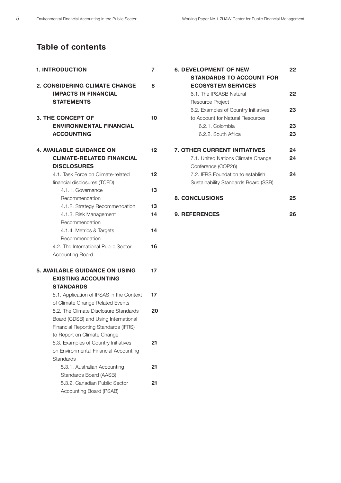## Table of contents

| <b>1. INTRODUCTION</b>                                                                                                                               |          |
|------------------------------------------------------------------------------------------------------------------------------------------------------|----------|
| <b>2. CONSIDERING CLIMATE CHANGE</b><br><b>IMPACTS IN FINANCIAL</b><br><b>STATEMENTS</b>                                                             | 8        |
| 3. THE CONCEPT OF<br><b>ENVIRONMENTAL FINANCIAL</b><br><b>ACCOUNTING</b>                                                                             | 10       |
| <b>4. AVAILABLE GUIDANCE ON</b><br><b>CLIMATE-RELATED FINANCIAL</b><br><b>DISCLOSURES</b>                                                            | 12       |
| 4.1. Task Force on Climate-related<br>financial disclosures (TCFD)                                                                                   | 12       |
| 4.1.1. Governance<br>Recommendation                                                                                                                  | 13       |
| 4.1.2. Strategy Recommendation<br>4.1.3. Risk Management<br>Recommendation                                                                           | 13<br>14 |
| 4.1.4. Metrics & Targets<br>Recommendation                                                                                                           | 14       |
| 4.2. The International Public Sector<br><b>Accounting Board</b>                                                                                      | 16       |
| 5. AVAILABLE GUIDANCE ON USING<br><b>EXISTING ACCOUNTING</b><br><b>STANDARDS</b>                                                                     | 17       |
| 5.1. Application of IPSAS in the Context<br>of Climate Change Related Events                                                                         | 17       |
| 5.2. The Climate Disclosure Standards<br>Board (CDSB) and Using International<br>Financial Reporting Standards (IFRS)<br>to Report on Climate Change | 20       |
| 5.3. Examples of Country Initiatives<br>on Environmental Financial Accounting<br><b>Standards</b>                                                    | 21       |
| 5.3.1. Australian Accounting<br>Standards Board (AASB)<br>5.3.2. Canadian Public Sector                                                              | 21<br>21 |
| Accounting Board (PSAB)                                                                                                                              |          |

| <b>6. DEVELOPMENT OF NEW</b>         | 22 |
|--------------------------------------|----|
| <b>STANDARDS TO ACCOUNT FOR</b>      |    |
| <b>ECOSYSTEM SERVICES</b>            |    |
| 6.1. The IPSASB Natural              | 22 |
| Resource Project                     |    |
| 6.2. Examples of Country Initiatives | 23 |
| to Account for Natural Resources     |    |
| 6.2.1. Colombia                      | 23 |
| 6.2.2. South Africa                  | 23 |
|                                      |    |
| <b>7. OTHER CURRENT INITIATIVES</b>  | 24 |
| 7.1. United Nations Climate Change   | 24 |
| Conference (COP26)                   |    |
| 7.2. IFRS Foundation to establish    | 24 |
| Sustainability Standards Board (SSB) |    |
|                                      |    |
| <b>8. CONCLUSIONS</b>                | 25 |
|                                      |    |
| <b>9. REFERENCES</b>                 | 26 |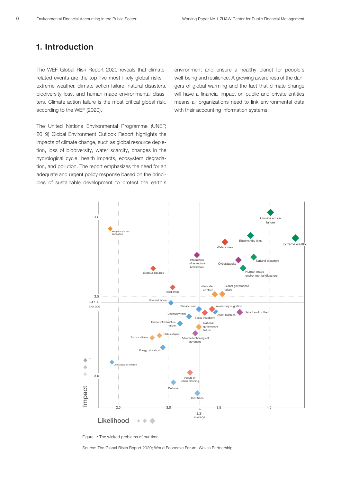## 1. Introduction

The WEF Global Risk Report 2020 reveals that climaterelated events are the top five most likely global risks – extreme weather, climate action failure, natural disasters, biodiversity loss, and human-made environmental disasters. Climate action failure is the most critical global risk, according to the WEF (2020).

The United Nations Environmental Programme (UNEP, 2019) Global Environment Outlook Report highlights the impacts of climate change, such as global resource depletion, loss of biodiversity, water scarcity, changes in the hydrological cycle, health impacts, ecosystem degradation, and pollution. The report emphasizes the need for an adequate and urgent policy response based on the principles of sustainable development to protect the earth's environment and ensure a healthy planet for people's well-being and resilience. A growing awareness of the dangers of global warming and the fact that climate change will have a financial impact on public and private entities means all organizations need to link environmental data with their accounting information systems.



Figure 1: The wicked problems of our time

Source: The Global Risks Report 2020; World Economic Forum, Waves Partnership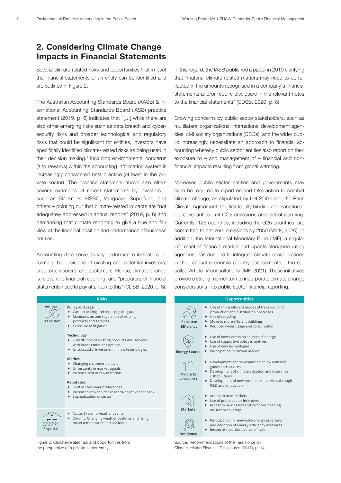## 2. Considering Climate Change Impacts in Financial Statements

Several climate-related risks and opportunities that impact the financial statements of an entity can be identified and are outlined in Figure 2.

The Australian Accounting Standards Board (AASB) & International Accounting Standards Board (IASB) practice statement (2019, p. 6) indicates that "[…] while there are also other emerging risks such as data breach and cybersecurity risks and broader technological and regulatory risks that could be significant for entities, investors have specifically identified climate-related risks as being used in their decision making." Including environmental concerns (and rewards) within the accounting information system is increasingly considered best practice (at least in the private sector). The practice statement above also offers several examples of recent statements by investors – such as Blackrock, HSBC, Vanguard, Superfund, and others – pointing out that climate-related impacts are "not adequately addressed in annual reports" (2019, p. 6) and demanding that climate reporting to give a true and fair view of the financial position and performance of business<br>entities. entities.

end<br>Accounting data serve as key performance indicators informing the decisions of existing and potential investors, creditors, insurers, and customers. Hence, climate change is relevant to financial reporting, and "preparers of financial p statements need to pay attention to this" (CDSB, 2020, p. 8). opportunities, informative, and populations, informative, unitiality original igo

#### **Risks**



**Transition**

**Physicial**

- $\blacktriangleright$  Mandates on and regulation of existing
- **Transition Products** and services
	- $\blacktriangleright$  Exposure to litigation

#### **Technology**

- $\blacktriangleright$  Substitution of existing products and services with lower emissions options
- $\blacktriangleright$  Unsuccessful investment in new technologies **Financial Impactive**

#### **Market**

- $\blacktriangleright$  Changing customer behavior
- $\blacktriangleright$  Uncertainty in market signals  $\blacktriangleright$  Increase cost of raw materials
- 

#### **Reputation**

- $\blacktriangleright$  Shift in consumer preferences
- ► Same in consumer preferences<br>► Increased stakeholder concern/negative feedback **F** Stigmatization of sector
	-
	- $\blacktriangleright$  Acute: Extreme weather events Chronic: Changing weather patterns and rising mean temperature and sea levels

**Revenues Expenditures Assets & Liabilities** the perspective of a private sector entity Figure 2: Climate-related risk and opportunities from

In this regard, the IASB published a paper in 2019 clarifying that "material climate-related matters may need to be reflected in the amounts recognised in a company's financial statements and/or require disclosure in the relevant notes to the financial statements" (CDSB, 2020, p. 8).

Growing concerns by public sector stakeholders, such as multilateral organizations, international development agencies, civil society organizations (CSOs), and the wider public increasingly necessitate an approach to financial accounting whereby public sector entities also report on their exposure to – and management of – financial and nonfinancial impacts resulting from global warming.

Moreover, public sector entities and governments may even be required to report on and take action to combat climate change, as stipulated by UN SDGs and the Paris Climate Agreement, the first legally binding and sanctionable covenant to limit CO2 emissions and global warming. Currently, 125 countries, including the G25 countries, are committed to net-zero emissions by 2050 (Mark, 2020). In addition, the International Monetary Fund (IMF), a regular informant of financial market participants alongside rating agencies, has decided to integrate climate considerations in their annual economic country assessments - the socalled Article IV consultations (IMF, 2021). These initiatives provide a strong momentum to incorporate climate change considerations into public sector financial reporting.

#### **Opportunities**

| <b>Resource</b><br><b>Efficiency</b> | ▶ Use of more efficient modes of transport and<br>production and distribution processes<br>Use of recycling<br>Move to more efficient buildings<br>Reduced water usage and consumption<br>▶                         |  |
|--------------------------------------|---------------------------------------------------------------------------------------------------------------------------------------------------------------------------------------------------------------------|--|
| <b>Energy Source</b>                 | ▶ Use of lower-emission sources of energy<br>Use of supportive policy incentives<br>Use of new technologies<br>Participation in carbon market                                                                       |  |
| <b>Products</b><br>& Services        | Development and/or expansion of low emission<br>goods and services<br>Development of climate adaption and insurance<br>risk solutions<br>Development of new products or services through<br>►<br>R&D and innovation |  |
| <b>Markets</b>                       | Access to new markets<br>Use of public-sector incentives<br>Access to new assets and locations needing<br>insurance coverage                                                                                        |  |
| <b>Resilience</b>                    | Participation in renewable energy programs<br>►<br>and adoption of energy-efficiency measures<br>Resource substitutes/diversification                                                                               |  |

**Revenues Expenditures Assets**  Climate-related Financial Disclosures (2017), p. 14Source: Recommendations of the Task Force on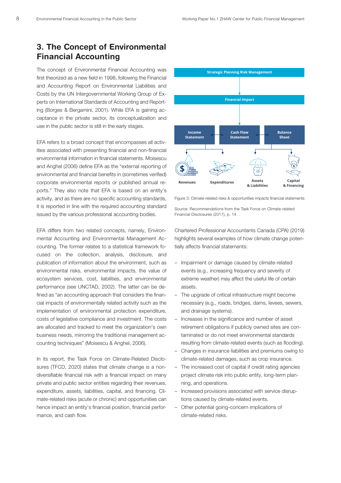#### 3. The Concept of Environmental **Financial Accounting Policy and Legal**

The concept of Environmental Financial Accounting was first theorized as a new field in 1998, following the Financial and Accounting Report on Environmental Liabilities and mental costs by the UN Intergovernmental Working Group of Ex-<br>Costs by the UN Intergovernmental Working Group of Experts on International Standards of Accounting and Report-.<br>ing (Borges & Bergamini, 2001). While EFA is gaining ac- $\epsilon$  ceptance in the private sector, its conceptualization and use in the public sector is still in the early stages.

EFA refers to a broad concept that encompasses all activities associated with presenting financial and non-financial environmental information in financial statements. Moisescu and Anghel (2006) define EFA as the "external reporting of **Physicial** environmental and financial benefits in (sometimes verified) corporate environmental reports or published annual reports." They also note that EFA is based on an entity's activity, and as there are no specific accounting standards, it is reported in line with the required accounting standard issued by the various professional accounting bodies.

EFA differs from two related concepts, namely, Environmental Accounting and Environmental Management Accounting. The former relates to a statistical framework focused on the collection, analysis, disclosure, and publication of information about the environment, such as environmental risks, environmental impacts, the value of ecosystem services, cost, liabilities, and environmental performance (see UNCTAD, 2002). The latter can be defined as "an accounting approach that considers the financial impacts of environmentally related activity such as the implementation of environmental protection expenditure, costs of legislative compliance and investment. The costs are allocated and tracked to meet the organization's own business needs, mirroring the traditional management accounting techniques" (Moisescu & Anghel, 2006).

In its report, the Task Force on Climate-Related Disclosures (TFCD, 2020) states that climate change is a nondiversifiable financial risk with a financial impact on many private and public sector entities regarding their revenues, expenditure, assets, liabilities, capital, and financing. Climate-related risks (acute or chronic) and opportunities can hence impact an entity's financial position, financial performance, and cash flow.



Figure 3: Climate-related risks & opportunities impacts financial statements

Source: Recommendations from the Task Force on Climate-related Financial Disclosures (2017), p. 14

Chartered Professional Accountants Canada (CPA) (2019) highlights several examples of how climate change potentially affects financial statements:

- Impairment or damage caused by climate-related events (e.g., increasing frequency and severity of extreme weather) may affect the useful life of certain assets.
- The upgrade of critical infrastructure might become necessary (e.g., roads, bridges, dams, levees, sewers, and drainage systems).
- Increases in the significance and number of asset retirement obligations if publicly owned sites are contaminated or do not meet environmental standards resulting from climate-related events (such as flooding).
- Changes in insurance liabilities and premiums owing to climate-related damages, such as crop insurance.
- The increased cost of capital if credit rating agencies project climate risk into public entity, long-term planning, and operations.
- Increased provisions associated with service disruptions caused by climate-related events.
- Other potential going-concern implications of climate-related risks.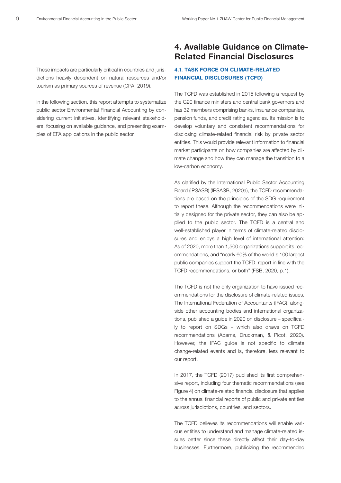These impacts are particularly critical in countries and jurisdictions heavily dependent on natural resources and/or tourism as primary sources of revenue (CPA, 2019).

In the following section, this report attempts to systematize public sector Environmental Financial Accounting by considering current initiatives, identifying relevant stakeholders, focusing on available guidance, and presenting examples of EFA applications in the public sector.

## 4. Available Guidance on Climate-Related Financial Disclosures

#### 4.1. TASK FORCE ON CLIMATE-RELATED FINANCIAL DISCLOSURES (TCFD)

The TCFD was established in 2015 following a request by the G20 finance ministers and central bank governors and has 32 members comprising banks, insurance companies, pension funds, and credit rating agencies. Its mission is to develop voluntary and consistent recommendations for disclosing climate-related financial risk by private sector entities. This would provide relevant information to financial market participants on how companies are affected by climate change and how they can manage the transition to a low-carbon economy.

As clarified by the International Public Sector Accounting Board (IPSASB) (IPSASB, 2020a), the TCFD recommendations are based on the principles of the SDG requirement to report these. Although the recommendations were initially designed for the private sector, they can also be applied to the public sector. The TCFD is a central and well-established player in terms of climate-related disclosures and enjoys a high level of international attention: As of 2020, more than 1,500 organizations support its recommendations, and "nearly 60% of the world's 100 largest public companies support the TCFD, report in line with the TCFD recommendations, or both" (FSB, 2020, p.1).

The TCFD is not the only organization to have issued recommendations for the disclosure of climate-related issues. The International Federation of Accountants (IFAC), alongside other accounting bodies and international organizations, published a guide in 2020 on disclosure – specifically to report on SDGs – which also draws on TCFD recommendations (Adams, Druckman, & Picot, 2020). However, the IFAC guide is not specific to climate change-related events and is, therefore, less relevant to our report.

In 2017, the TCFD (2017) published its first comprehensive report, including four thematic recommendations (see Figure 4) on climate-related financial disclosure that applies to the annual financial reports of public and private entities across jurisdictions, countries, and sectors.

The TCFD believes its recommendations will enable various entities to understand and manage climate-related issues better since these directly affect their day-to-day businesses. Furthermore, publicizing the recommended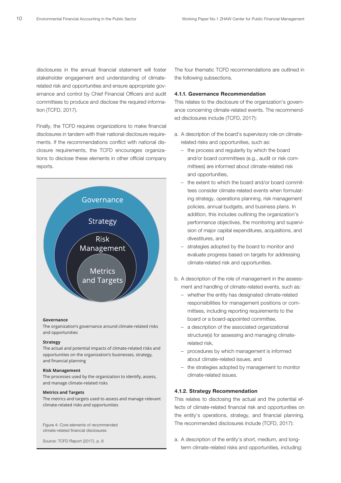disclosures in the annual financial statement will foster stakeholder engagement and understanding of climaterelated risk and opportunities and ensure appropriate governance and control by Chief Financial Officers and audit committees to produce and disclose the required information (TCFD, 2017).

Finally, the TCFD requires organizations to make financial disclosures in tandem with their national disclosure requirements. If the recommendations conflict with national disclosure requirements, the TCFD encourages organizations to disclose these elements in other official company reports.



#### **Governance**

The organization's governance around climate-related risks and opportunities

#### **Strategy**

The actual and potential impacts of climate-related risks and opportunities on the organization's businesses, strategy, and financial planning

#### **Risk Management**

The processes used by the organization to identify, assess, and manage climate-related risks

#### **Metrics and Targets**

The metrics and targets used to assess and manage relevant climate-related risks and opportunities

Figure 4: Core elements of recommended climate-related financial disclosures

Source: TCFD Report (2017), p. 6

The four thematic TCFD recommendations are outlined in the following subsections.

#### 4.1.1. Governance Recommendation

This relates to the disclosure of the organization's governance concerning climate-related events. The recommended disclosures include (TCFD, 2017):

- a. A description of the board's supervisory role on climaterelated risks and opportunities, such as:
	- the process and regularity by which the board and/or board committees (e.g., audit or risk committees) are informed about climate-related risk and opportunities,
- the extent to which the board and/or board committees consider climate-related events when formulating strategy, operations planning, risk management policies, annual budgets, and business plans. In addition, this includes outlining the organization's performance objectives, the monitoring and supervision of major capital expenditures, acquisitions, and divestitures, and
- diveditated, and<br>
 strategies adopted by the board to monitor and evaluate progress based on targets for addressing climate-related risk and opportunities.
- b. A description of the role of management in the assessment and handling of climate-related events, such as:
- whether the entity has designated climate-related responsibilities for management positions or committees, including reporting requirements to the board or a board-appointed committee,
	- a description of the associated organizational structure(s) for assessing and managing climaterelated risk,
	- procedures by which management is informed about climate-related issues, and
	- the strategies adopted by management to monitor climate-related issues.

#### 4.1.2. Strategy Recommendation

This relates to disclosing the actual and the potential effects of climate-related financial risk and opportunities on the entity's operations, strategy, and financial planning. The recommended disclosures include (TCFD, 2017):

a. A description of the entity's short, medium, and longterm climate-related risks and opportunities, including: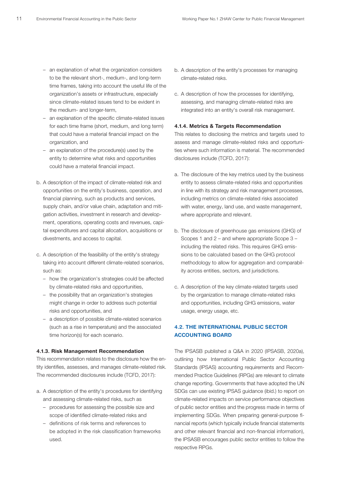- an explanation of what the organization considers to be the relevant short-, medium-, and long-term time frames, taking into account the useful life of the organization's assets or infrastructure, especially since climate-related issues tend to be evident in the medium- and longer-term,
- an explanation of the specific climate-related issues for each time frame (short, medium, and long term) that could have a material financial impact on the organization, and
- an explanation of the procedure(s) used by the entity to determine what risks and opportunities could have a material financial impact.
- b. A description of the impact of climate-related risk and opportunities on the entity's business, operation, and financial planning, such as products and services, supply chain, and/or value chain, adaptation and mitigation activities, investment in research and development, operations, operating costs and revenues, capital expenditures and capital allocation, acquisitions or divestments, and access to capital.
- c. A description of the feasibility of the entity's strategy taking into account different climate-related scenarios, such as:
	- how the organization's strategies could be affected by climate-related risks and opportunities,
	- the possibility that an organization's strategies might change in order to address such potential risks and opportunities, and
	- a description of possible climate-related scenarios (such as a rise in temperature) and the associated time horizon(s) for each scenario.

#### 4.1.3. Risk Management Recommendation

This recommendation relates to the disclosure how the entity identifies, assesses, and manages climate-related risk. The recommended disclosures include (TCFD, 2017):

- a. A description of the entity's procedures for identifying and assessing climate-related risks, such as
	- procedures for assessing the possible size and scope of identified climate-related risks and
	- definitions of risk terms and references to be adopted in the risk classification frameworks used.
- b. A description of the entity's processes for managing climate-related risks.
- c. A description of how the processes for identifying, assessing, and managing climate-related risks are integrated into an entity's overall risk management.

#### 4.1.4. Metrics & Targets Recommendation

This relates to disclosing the metrics and targets used to assess and manage climate-related risks and opportunities where such information is material. The recommended disclosures include (TCFD, 2017):

- a. The disclosure of the key metrics used by the business entity to assess climate-related risks and opportunities in line with its strategy and risk management processes, including metrics on climate-related risks associated with water, energy, land use, and waste management, where appropriate and relevant.
- b. The disclosure of greenhouse gas emissions (GHG) of Scopes 1 and 2 – and where appropriate Scope 3 – including the related risks. This requires GHG emissions to be calculated based on the GHG protocol methodology to allow for aggregation and comparability across entities, sectors, and jurisdictions.
- c. A description of the key climate-related targets used by the organization to manage climate-related risks and opportunities, including GHG emissions, water usage, energy usage, etc.

#### 4.2. THE INTERNATIONAL PUBLIC SECTOR ACCOUNTING BOARD

The IPSASB published a Q&A in 2020 (IPSASB, 2020a), outlining how International Public Sector Accounting Standards (IPSAS) accounting requirements and Recommended Practice Guidelines (RPGs) are relevant to climate change reporting. Governments that have adopted the UN SDGs can use existing IPSAS guidance (ibid.) to report on climate-related impacts on service performance objectives of public sector entities and the progress made in terms of implementing SDGs. When preparing general-purpose financial reports (which typically include financial statements and other relevant financial and non-financial information), the IPSASB encourages public sector entities to follow the respective RPGs.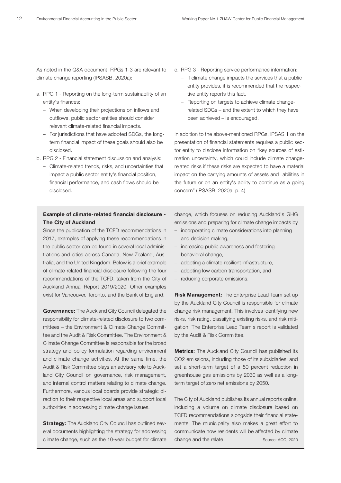As noted in the Q&A document, RPGs 1-3 are relevant to climate change reporting (IPSASB, 2020a):

- a. RPG 1 Reporting on the long-term sustainability of an entity's finances:
	- When developing their projections on inflows and outflows, public sector entities should consider relevant climate-related financial impacts.
	- For jurisdictions that have adopted SDGs, the longterm financial impact of these goals should also be disclosed.
- b. RPG 2 Financial statement discussion and analysis:
	- Climate-related trends, risks, and uncertainties that impact a public sector entity's financial position, financial performance, and cash flows should be disclosed.

#### Example of climate-related financial disclosure - The City of Auckland

Since the publication of the TCFD recommendations in 2017, examples of applying these recommendations in the public sector can be found in several local administrations and cities across Canada, New Zealand, Australia, and the United Kingdom. Below is a brief example of climate-related financial disclosure following the four recommendations of the TCFD, taken from the City of Auckland Annual Report 2019/2020. Other examples exist for Vancouver, Toronto, and the Bank of England.

**Governance:** The Auckland City Council delegated the responsibility for climate-related disclosure to two committees – the Environment & Climate Change Committee and the Audit & Risk Committee. The Environment & Climate Change Committee is responsible for the broad strategy and policy formulation regarding environment and climate change activities. At the same time, the Audit & Risk Committee plays an advisory role to Auckland City Council on governance, risk management, and internal control matters relating to climate change. Furthermore, various local boards provide strategic direction to their respective local areas and support local authorities in addressing climate change issues.

**Strategy:** The Auckland City Council has outlined several documents highlighting the strategy for addressing climate change, such as the 10-year budget for climate

- c. RPG 3 Reporting service performance information:
	- If climate change impacts the services that a public entity provides, it is recommended that the respective entity reports this fact.
	- Reporting on targets to achieve climate changerelated SDGs – and the extent to which they have been achieved – is encouraged.

In addition to the above-mentioned RPGs, IPSAS 1 on the presentation of financial statements requires a public sector entity to disclose information on "key sources of estimation uncertainty, which could include climate changerelated risks if these risks are expected to have a material impact on the carrying amounts of assets and liabilities in the future or on an entity's ability to continue as a going concern" (IPSASB, 2020a, p. 4)

change, which focuses on reducing Auckland's GHG emissions and preparing for climate change impacts by

- incorporating climate considerations into planning and decision making,
- increasing public awareness and fostering behavioral change,
- adopting a climate-resilient infrastructure,
- adopting low carbon transportation, and
- reducing corporate emissions.

Risk Management: The Enterprise Lead Team set up by the Auckland City Council is responsible for climate change risk management. This involves identifying new risks, risk rating, classifying existing risks, and risk mitigation. The Enterprise Lead Team's report is validated by the Audit & Risk Committee.

**Metrics:** The Auckland City Council has published its CO2 emissions, including those of its subsidiaries, and set a short-term target of a 50 percent reduction in greenhouse gas emissions by 2030 as well as a longterm target of zero net emissions by 2050.

The City of Auckland publishes its annual reports online, including a volume on climate disclosure based on TCFD recommendations alongside their financial statements. The municipality also makes a great effort to communicate how residents will be affected by climate change and the relate Source: ACC, 2020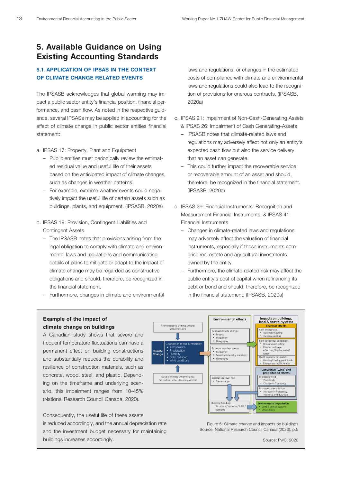## 5. Available Guidance on Using Existing Accounting Standards

### 5.1. APPLICATION OF IPSAS IN THE CONTEXT OF CLIMATE CHANGE RELATED EVENTS

The IPSASB acknowledges that global warming may impact a public sector entity's financial position, financial performance, and cash flow. As noted in the respective guidance, several IPSASs may be applied in accounting for the effect of climate change in public sector entities financial statement:

- a. IPSAS 17: Property, Plant and Equipment
	- Public entities must periodically review the estimated residual value and useful life of their assets based on the anticipated impact of climate changes, such as changes in weather patterns.
	- For example, extreme weather events could negatively impact the useful life of certain assets such as buildings, plants, and equipment. (IPSASB, 2020a)
- b. IPSAS 19: Provision, Contingent Liabilities and Contingent Assets
	- The IPSASB notes that provisions arising from the legal obligation to comply with climate and environmental laws and regulations and communicating details of plans to mitigate or adapt to the impact of climate change may be regarded as constructive obligations and should, therefore, be recognized in the financial statement.
	- Furthermore, changes in climate and environmental

laws and regulations, or changes in the estimated costs of compliance with climate and environmental laws and regulations could also lead to the recognition of provisions for onerous contracts. (IPSASB, 2020a)

- c. IPSAS 21: Impairment of Non-Cash-Generating Assets & IPSAS 26: Impairment of Cash Generating-Assets
	- IPSASB notes that climate-related laws and regulations may adversely affect not only an entity's expected cash flow but also the service delivery that an asset can generate.
	- This could further impact the recoverable service or recoverable amount of an asset and should, therefore, be recognized in the financial statement. (IPSASB, 2020a)
- d. IPSAS 29: Financial Instruments: Recognition and Measurement Financial Instruments, & IPSAS 41: Financial Instruments
	- Changes in climate-related laws and regulations may adversely affect the valuation of financial instruments, especially if these instruments comprise real estate and agricultural investments owned by the entity.
	- Furthermore, the climate-related risk may affect the public entity's cost of capital when refinancing its debt or bond and should, therefore, be recognized in the financial statement. (IPSASB, 2020a)

#### Example of the impact of climate change on buildings

A Canadian study shows that severe and frequent temperature fluctuations can have a permanent effect on building constructions and substantially reduces the durability and resilience of construction materials, such as concrete, wood, steel, and plastic. Depending on the timeframe and underlying scenario, this impairment ranges from 10-45% (National Research Council Canada, 2020).

Consequently, the useful life of these assets is reduced accordingly, and the annual depreciation rate and the investment budget necessary for maintaining buildings increases accordingly.



Figure 5: Climate change and impacts on buildings Source: National Research Council Canada (2020), p.5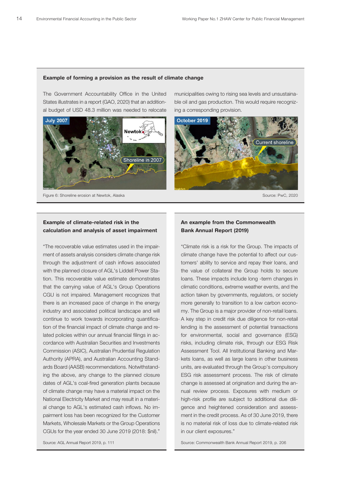#### Example, of farming a provision as the result of climate change permanent of forming a proficient as the focult of clinical change example, of farming a provision as the result of climate change. Example of forming a provision as the result of climate change  $\mathbf{E}$

de Jean Charles, Louisiana—that moved forward with relocation. Newtok, for

de Jean Charles, Louisiana—that moved forward with relocation. Newtok, for

they are designed to address other priorities, according to literature GAO

they are designed to address other priorities, according to literature GAO

The Government Accountability Office in the United municipalities owing to rising sea levels and unsustaina States illustrates in a report (GAO, 2020) that an addition-**Shoreline Erosion at Alaska, Critical Erosion at Alaska, From Dubber 2019.**<br> **Shoreline Erosion at Newton Alaska, from July 2019.**<br> **Shoreling a corresponding provision** 



Figure 6: Shoreline erosion at Newtok, Alaska Source: PwC, 2020

municipalities owing to rising sea levels and unsustainable oil and gas production. This would require recognizing a corresponding provision.



#### Example of climate-related risk in the **And Frample from the Commonwealth**<br>An example from the Commonwealth calculation and analysis of asset impairment Bank Annual Report (2019) xample of climate-related risk in the **An** example from the Commonwealth

"The recoverable value estimates used in the impair-<br>"Climate risk is a risk for the Group. The impact through the adjustment of cash inflows associated to climate to service and repay their loar tion. This recoverable value estimate demonstrates and all loans. These impacts include long -term changes in that the carrying value of AGL's Group Operations climatic conditions, extreme weather events, and the CGU is not impaired. Management recognizes that action taken by governments, regulators, or soc there is an increased pace of change in the energy more generally to transition to a low carbon econocontinue to work towards incorporating quantifica-<br>
A key step in credit risk due diligence for non-re tion of the financial impact of climate change and re-<br>
Federal fiscal exposure to the financial transaction of the financial impact of climate change and recordance with Australian Secunties and investments of the risks, including climate risk, through our E.<br>Commission (ASIC), Australian Prudential Regulation and Assessment Tool. All Institutional Banking a promission (ASIO), Australian Frudential Regulation<br>Authority (APRA), and Australian Accounting Stand-<br>kets loans, as well as large loans in other busine Fremonty (Fig. 1793), and Frederal institutional medicines increased the interaction of the interaction and ards Board (AASB) recommendations. Notwithstand-<br>
units, are evaluated through the Group's compulsory of climate change may have a material impact on the mual review process. Exposures with med al change to AGL's estimated cash inflows. No im-<br>gence and heightened consideration and asset pairment loss has been recognized for the Customer<br>
ment in the credit process. As of 30 June 2019, Markets, Wholesale Markets or the Group Operations is no material risk of loss due to climate-related ris CGUs for the year ended 30 June 2019 (2018: \$nil)." ment of assets analysis considers climate change risk with the planned closure of AGL's Liddell Power Staindustry and associated political landscape and will lated policies within our annual financial filings in accordance with Australian Securities and Investments ing the above, any change to the planned closure dates of AGL's coal-fired generation plants because

## Bank Annual Report (2019)

with the planned closure of AGL's Liddell Power Sta-<br>the value of collateral the Group holds to secure industry and associated political landscape and will my. The Group is a major provider of non-retail loans. lated policies within our annual financial filings in ac-<br>Disaster Residence Framework suggest that file and governance (ESG) In the national strategy to the planned closure<br>
In the national strategy to complete to the planned closure<br>
In the national strategy to complete to the planned closure<br>
In the strategy to complete the planned closure<br>
In recommends that first programs to the value of the value of the value of the value of the value of the value of the value of the value of the value of the value of the value of the value of the value of the value of the va National Electricity Market and may result in a materi-<br>
high-risk profile are subject to additional due dilion. This recoverable value estimate demonstrates and been all loans. These impacts include long -term changes in at the carrying value of AGL's Group Operations climatic conditions, extreme weather events, and the lere is an increased pace of change in the energy and the more generally to transition to a low carbon econoreferency of the y<sub>n</sub> and *reastement recogniting* ordinal interactions, as well as large foarly in other besiness Markets, Wholesale Markets or the Group Operations is no material risk of loss due to climate-related risk "Climate risk is a risk for the Group. The impacts of climate change have the potential to affect our customers' ability to service and repay their loans, and action taken by governments, regulators, or society A key step in credit risk due diligence for non-retail lending is the assessment of potential transactions risks, including climate risk, through our ESG Risk Assessment Tool. All Institutional Banking and Markets loans, as well as large loans in other business nual review process. Exposures with medium or high-risk profile are subject to additional due diligence and heightened consideration and assessment in the credit process. As of 30 June 2019, there in our client exposures."

Source: AGL Annual Report 2019, p. 111

**United States Government Accountability Office** Source: Commonwealth Bank Annual Report 2019, p. 206

**United States Government Accountability Office**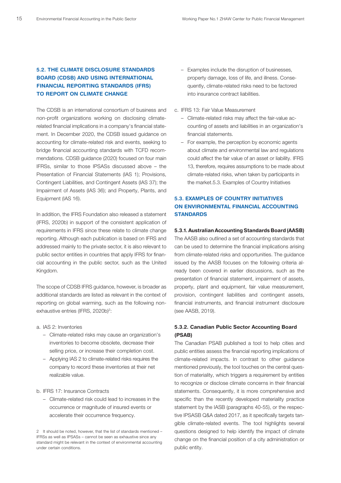### 5.2. THE CLIMATE DISCLOSURE STANDARDS BOARD (CDSB) AND USING INTERNATIONAL FINANCIAL REPORTING STANDARDS (IFRS) TO REPORT ON CLIMATE CHANGE

The CDSB is an international consortium of business and non-profit organizations working on disclosing climaterelated financial implications in a company's financial statement. In December 2020, the CDSB issued guidance on accounting for climate-related risk and events, seeking to bridge financial accounting standards with TCFD recommendations. CDSB guidance (2020) focused on four main IFRSs, similar to those IPSASs discussed above – the Presentation of Financial Statements (IAS 1); Provisions, Contingent Liabilities, and Contingent Assets (IAS 37); the Impairment of Assets (IAS 36); and Property, Plants, and Equipment (IAS 16).

In addition, the IFRS Foundation also released a statement (IFRS, 2020b) in support of the consistent application of requirements in IFRS since these relate to climate change reporting. Although each publication is based on IFRS and addressed mainly to the private sector, it is also relevant to public sector entities in countries that apply IFRS for financial accounting in the public sector, such as the United Kingdom.

The scope of CDSB IFRS guidance, however, is broader as additional standards are listed as relevant in the context of reporting on global warming, such as the following nonexhaustive entries (IFRS, 2020b)<sup>2</sup>:

- a. IAS 2: Inventories
	- Climate-related risks may cause an organization's inventories to become obsolete, decrease their selling price, or increase their completion cost.
	- Applying IAS 2 to climate-related risks requires the company to record these inventories at their net realizable value.
- b. IFRS 17: Insurance Contracts
	- Climate-related risk could lead to increases in the occurrence or magnitude of insured events or accelerate their occurrence frequency.
- Examples include the disruption of businesses, property damage, loss of life, and illness. Consequently, climate-related risks need to be factored into insurance contract liabilities.
- c. IFRS 13: Fair Value Measurement
	- Climate-related risks may affect the fair-value accounting of assets and liabilities in an organization's financial statements.
	- For example, the perception by economic agents about climate and environmental law and regulations could affect the fair value of an asset or liability. IFRS 13, therefore, requires assumptions to be made about climate-related risks, when taken by participants in the market.5.3. Examples of Country Initiatives

#### 5.3. EXAMPLES OF COUNTRY INITIATIVES ON ENVIRONMENTAL FINANCIAL ACCOUNTING **STANDARDS**

#### 5.3.1. Australian Accounting Standards Board (AASB)

The AASB also outlined a set of accounting standards that can be used to determine the financial implications arising from climate-related risks and opportunities. The guidance issued by the AASB focuses on the following criteria already been covered in earlier discussions, such as the presentation of financial statement, impairment of assets, property, plant and equipment, fair value measurement, provision, contingent liabilities and contingent assets, financial instruments, and financial instrument disclosure (see AASB, 2019).

#### 5.3.2. Canadian Public Sector Accounting Board (PSAB)

The Canadian PSAB published a tool to help cities and public entities assess the financial reporting implications of climate-related impacts. In contrast to other guidance mentioned previously, the tool touches on the central question of materiality, which triggers a requirement by entities to recognize or disclose climate concerns in their financial statements. Consequently, it is more comprehensive and specific than the recently developed materiality practice statement by the IASB (paragraphs 40-55), or the respective IPSASB Q&A dated 2017, as it specifically targets tangible climate-related events. The tool highlights several questions designed to help identify the impact of climate change on the financial position of a city administration or public entity.

<sup>2</sup> It should be noted, however, that the list of standards mentioned – IFRSs as well as IPSASs – cannot be seen as exhaustive since any standard might be relevant in the context of environmental accounting under certain conditions.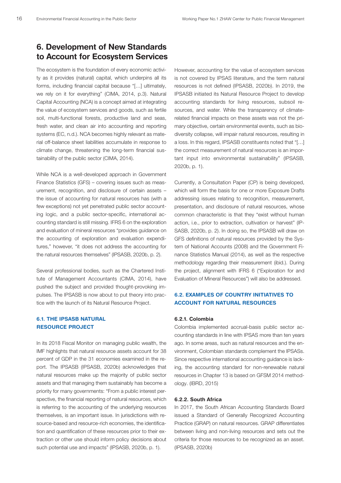## 6. Development of New Standards to Account for Ecosystem Services

The ecosystem is the foundation of every economic activity as it provides (natural) capital, which underpins all its forms, including financial capital because "[…] ultimately, we rely on it for everything" (CIMA, 2014, p.3). Natural Capital Accounting (NCA) is a concept aimed at integrating the value of ecosystem services and goods, such as fertile soil, multi-functional forests, productive land and seas, fresh water, and clean air into accounting and reporting systems (EC, n.d.). NCA becomes highly relevant as material off-balance sheet liabilities accumulate in response to climate change, threatening the long-term financial sustainability of the public sector (CIMA, 2014).

While NCA is a well-developed approach in Government Finance Statistics (GFS) – covering issues such as measurement, recognition, and disclosure of certain assets – the issue of accounting for natural resources has (with a few exceptions) not yet penetrated public sector accounting logic, and a public sector-specific, international accounting standard is still missing. IFRS 6 on the exploration and evaluation of mineral resources "provides guidance on the accounting of exploration and evaluation expenditures," however, "it does not address the accounting for the natural resources themselves" (IPSASB, 2020b, p. 2).

Several professional bodies, such as the Chartered Institute of Management Accountants (CIMA, 2014), have pushed the subject and provided thought-provoking impulses. The IPSASB is now about to put theory into practice with the launch of its Natural Resource Project.

#### 6.1. THE IPSASB NATURAL RESOURCE PROJECT

In its 2018 Fiscal Monitor on managing public wealth, the IMF highlights that natural resource assets account for 38 percent of GDP in the 31 economies examined in the report. The IPSASB (IPSASB, 2020b) acknowledges that natural resources make up the majority of public sector assets and that managing them sustainably has become a priority for many governments: "From a public interest perspective, the financial reporting of natural resources, which is referring to the accounting of the underlying resources themselves, is an important issue. In jurisdictions with resource-based and resource-rich economies, the identification and quantification of these resources prior to their extraction or other use should inform policy decisions about such potential use and impacts" (IPSASB, 2020b, p. 1).

However, accounting for the value of ecosystem services is not covered by IPSAS literature, and the term natural resources is not defined (IPSASB, 2020b). In 2019, the IPSASB initiated its Natural Resource Project to develop accounting standards for living resources, subsoil resources, and water. While the transparency of climaterelated financial impacts on these assets was not the primary objective, certain environmental events, such as biodiversity collapse, will impair natural resources, resulting in a loss. In this regard, IPSASB constituents noted that "[…] the correct measurement of natural resources is an important input into environmental sustainability" (IPSASB, 2020b, p. 1).

Currently, a Consultation Paper (CP) is being developed, which will form the basis for one or more Exposure Drafts addressing issues relating to recognition, measurement, presentation, and disclosure of natural resources, whose common characteristic is that they "exist without human action, i.e., prior to extraction, cultivation or harvest" (IP-SASB, 2020b, p. 2). In doing so, the IPSASB will draw on GFS definitions of natural resources provided by the System of National Accounts (2008) and the Government Finance Statistics Manual (2014), as well as the respective methodology regarding their measurement (ibid.). During the project, alignment with IFRS 6 ("Exploration for and Evaluation of Mineral Resources") will also be addressed.

#### 6.2. EXAMPLES OF COUNTRY INITIATIVES TO ACCOUNT FOR NATURAL RESOURCES

#### 6.2.1. Colombia

Colombia implemented accrual-basis public sector accounting standards in line with IPSAS more than ten years ago. In some areas, such as natural resources and the environment, Colombian standards complement the IPSASs. Since respective international accounting guidance is lacking, the accounting standard for non-renewable natural resources in Chapter 13 is based on GFSM 2014 methodology. (IBRD, 2015)

#### 6.2.2. South Africa

In 2017, the South African Accounting Standards Board issued a Standard of Generally Recognized Accounting Practice (GRAP) on natural resources. GRAP differentiates between living and non-living resources and sets out the criteria for those resources to be recognized as an asset. (IPSASB, 2020b)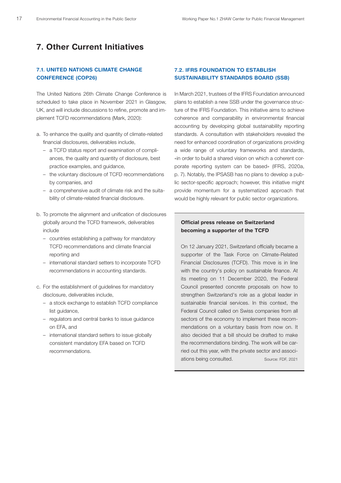## 7. Other Current Initiatives

#### 7.1. UNITED NATIONS CLIMATE CHANGE CONFERENCE (COP26)

The United Nations 26th Climate Change Conference is scheduled to take place in November 2021 in Glasgow, UK, and will include discussions to refine, promote and implement TCFD recommendations (Mark, 2020):

- a. To enhance the quality and quantity of climate-related financial disclosures, deliverables include,
	- a TCFD status report and examination of compliances, the quality and quantity of disclosure, best practice examples, and guidance,
	- the voluntary disclosure of TCFD recommendations by companies, and
	- a comprehensive audit of climate risk and the suitability of climate-related financial disclosure.
- b. To promote the alignment and unification of disclosures globally around the TCFD framework, deliverables include
	- countries establishing a pathway for mandatory TCFD recommendations and climate financial reporting and
	- international standard setters to incorporate TCFD recommendations in accounting standards.
- c. For the establishment of guidelines for mandatory disclosure, deliverables include,
	- a stock exchange to establish TCFD compliance list guidance,
	- regulators and central banks to issue guidance on EFA, and
	- international standard setters to issue globally consistent mandatory EFA based on TCFD recommendations.

#### **7.2. IFRS FOUNDATION TO ESTABLISH** SUSTAINABILITY STANDARDS BOARD (SSB)

In March 2021, trustees of the IFRS Foundation announced plans to establish a new SSB under the governance structure of the IFRS Foundation. This initiative aims to achieve coherence and comparability in environmental financial accounting by developing global sustainability reporting standards. A consultation with stakeholders revealed the need for enhanced coordination of organizations providing a wide range of voluntary frameworks and standards, «in order to build a shared vision on which a coherent corporate reporting system can be based» (IFRS, 2020a, p. 7). Notably, the IPSASB has no plans to develop a public sector-specific approach; however, this initiative might provide momentum for a systematized approach that would be highly relevant for public sector organizations.

#### Official press release on Switzerland becoming a supporter of the TCFD

On 12 January 2021, Switzerland officially became a supporter of the Task Force on Climate-Related Financial Disclosures (TCFD). This move is in line with the country's policy on sustainable finance. At its meeting on 11 December 2020, the Federal Council presented concrete proposals on how to strengthen Switzerland's role as a global leader in sustainable financial services. In this context, the Federal Council called on Swiss companies from all sectors of the economy to implement these recommendations on a voluntary basis from now on. It also decided that a bill should be drafted to make the recommendations binding. The work will be carried out this year, with the private sector and associations being consulted. Source: FDF, 2021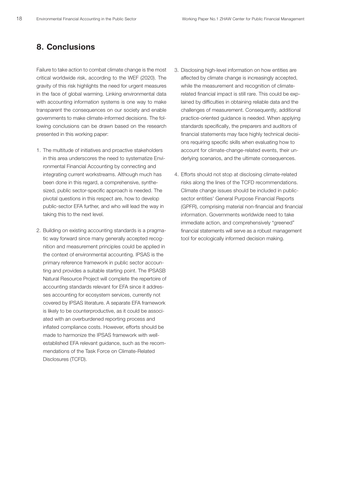## 8. Conclusions

Failure to take action to combat climate change is the most critical worldwide risk, according to the WEF (2020). The gravity of this risk highlights the need for urgent measures in the face of global warming. Linking environmental data with accounting information systems is one way to make transparent the consequences on our society and enable governments to make climate-informed decisions. The following conclusions can be drawn based on the research presented in this working paper:

- 1. The multitude of initiatives and proactive stakeholders in this area underscores the need to systematize Environmental Financial Accounting by connecting and integrating current workstreams. Although much has been done in this regard, a comprehensive, synthesized, public sector-specific approach is needed. The pivotal questions in this respect are, how to develop public-sector EFA further, and who will lead the way in taking this to the next level.
- 2. Building on existing accounting standards is a pragmatic way forward since many generally accepted recognition and measurement principles could be applied in the context of environmental accounting. IPSAS is the primary reference framework in public sector accounting and provides a suitable starting point. The IPSASB Natural Resource Project will complete the repertoire of accounting standards relevant for EFA since it addresses accounting for ecosystem services, currently not covered by IPSAS literature. A separate EFA framework is likely to be counterproductive, as it could be associated with an overburdened reporting process and inflated compliance costs. However, efforts should be made to harmonize the IPSAS framework with wellestablished EFA relevant guidance, such as the recommendations of the Task Force on Climate-Related Disclosures (TCFD).
- 3. Disclosing high-level information on how entities are affected by climate change is increasingly accepted, while the measurement and recognition of climaterelated financial impact is still rare. This could be explained by difficulties in obtaining reliable data and the challenges of measurement. Consequently, additional practice-oriented guidance is needed. When applying standards specifically, the preparers and auditors of financial statements may face highly technical decisions requiring specific skills when evaluating how to account for climate-change-related events, their underlying scenarios, and the ultimate consequences.
- 4. Efforts should not stop at disclosing climate-related risks along the lines of the TCFD recommendations. Climate change issues should be included in publicsector entities' General Purpose Financial Reports (GPFR), comprising material non-financial and financial information. Governments worldwide need to take immediate action, and comprehensively "greened" financial statements will serve as a robust management tool for ecologically informed decision making.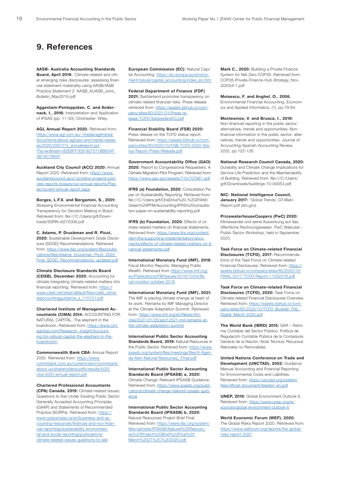## 9. References

AASB- Australia Accounting Standards Board, April 2019: 'Climate-related and other emerging risks disclosures: assessing financial statement materiality using AASB/IASB Practice Statement 2' AASB\_AUASB\_Joint\_ Bulletin\_May2019.pdf

Aggestam-Pontoppidan, C. and Andernack, I., 2016: Interpretation and Application of IPSAS (pp. 11-30). Chichester: Wiley.

AGL Annual Report 2020. Retrieved from: https://www.agl.com.au/-/media/aglmedia/ documents/about-agl/asx-and-media-releases/2020/2097212\_annualreport.pdf?la=en&hash=82E8FF1E819275718B654F-3B19C7862F

Auckland City Council (ACC) 2020: Annual Report 2020. Retrieved from: https://www. aucklandcouncil.govt.nz/plans-projects-policies-reports-bylaws/our-annual-reports/Pages/current-annual-report.aspx

Borges, L.F.X. and Bergamini, S., 2001: Stressing Environmental Financial Accounting Transparency for Decision Making in Brazil. Retrieved from: file:///C:/Users/grfl/Downloads/SSRN-id272008.pdf

C. Adams, P. Druckman and R. Picot, 2020: Sustainable Development Goals Disclosure (SDGD) Recommendations. Retrieved from: https://www.ifac.org/system/files/publications/files/Adams\_Druckman\_Picot\_2020\_ Final\_SDGD\_Recommendations\_updated.pdf

Climate Disclosure Standards Board (CDSB), December 2020: Accounting for climate Integrating climate-related matters into financial reporting. Retrieved from: https:// www.cdsb.net/sites/default/files/cdsb\_climateaccountingguidance s 110121.pdf

Chartered Institute of Management Accountants (CIMA) 2014: ACCOUNTING FOR NATURAL CAPITAL. The elephant in the boardroom. Retrieved from: https://www.cimaglobal.com/Research--Insight/Accounting-for-natural-capital-the-elephant-in-theboardroom/

Commonwealth Bank CBA: Annual Report 2020. Retrieved from: https://www. commbank.com.au/content/dam/commbank/ about-us/shareholders/pdfs/results/fy20/ cba-2020-annual-report.pdf

Chartered Professional Accountants (CPA) Canada, 2019: Climate-related Issues: Questions to Ask Under Existing Public Sector Generally Accepted Accounting Principles (GAAP) and Statements of Recommended Practice (SORPs). Retrieved from: https:// www.cpacanada.ca/en/business-and-accounting-resources/financial-and-non-financial-reporting/sustainability-environmental-and-social-reporting/publications/ climate-related-issues-questions-to-ask

European Commission (EC): Natural Capital Accounting. https://ec.europa.eu/environment/nature/capital\_accounting/index\_en.htm

Federal Department of Finance (FDF) 2021: Switzerland promotes transparency on climate-related financial risks. Press release retrieved from: https://assets.bbhub.io/company/sites/60/2021/01/Press-release-TCFD-SwitzerlandV3.pdf

Financial Stability Board (FSB) 2020:

Press release on the TCFD status report. Retrieved from: https://assets.bbhub.io/company/sites/60/2020/10/FSB-TCFD-2020-Status-Report-Press-Release.pdf

Government Accountability Office (GAO) 2020: Report to Congressional Requesters: A Climate Migration Pilot Program. Retrieved from: https://www.gao.gov/assets/710/707961.pdf

IFRS (a) Foundation, 2020: Consultation Paper on Sustainability Reporting. Retrieved from: file:///C:/Users/grfl/OneDrive%20-%20ZHAW/ Green%20PFM/Accounting/IFRS%20consultation-paper-on-sustainability-reporting.pdf

IFRS (b) Foundation, 2020: Effects of climate-related matters on financial statements. Retrieved from: https://www.ifrs.org/content/ dam/ifrs/supporting-implementation/documents/effects-of-climate-related-matters-on-financial-statements.pdf

International Monetary Fund (IMF), 2018: Fiscal Monitor Reports. Managing Public Wealth. Retrieved from https://www.imf.org/ en/Publications/FM/Issues/2018/10/04/fiscal-monitor-october-2018

International Monetary Fund (IMF), 2021: The IMF is placing climate change at heart of its work. Remarks by IMF Managing Director at the Climate Adaptation Summit. Retrieved from: https://www.imf.org/en/News/Articles/2021/01/25/sp012521-md-remarks-atthe-climate-adaptation-summit

International Public Sector Accounting Standards Board, 2019: Natural Resources in the Public Sector. Retrieved from: https://www. ipsasb.org/system/files/meetings/files/6-Agenda-Item-Natural-Resources\_-Final.pdf

International Public Sector Accounting Standards Board (IPSASB) a, 2020: Climate Change: Relevant IPSASB Guidance. Retrieved from: https://www.ipsasb.org/publications/climate-change-relevant-ipsasb-guidance

International Public Sector Accounting Standards Board (IPSASB) b, 2020: Natural Resources Project Brief Final.

Retrieved from: https://www.ifac.org/system/ files/uploads/IPSASB/Natural%20Resources%20Project%20Brief%20Final%20 March%2027%2C%202020.pdf

Mark C., 2020: Building a Private Finance System for Net Zero COP26. Retrieved from: COP26-Private-Finance-Hub-Strategy\_Nov-2020v4.1.pdf

Moisescu, F. and Anghel, O., 2006.

Environmental Financial Accounting. Economics and Applied Informatics, (1), pp.79-84.

Montesinos, V. and Brusca, I., 2019: Non-financial reporting in the public sector: alternatives, trends and opportunities: Nonfinancial information in the public sector: alternatives, trends and opportunities. Journal of Accounting-Spanish Accounting Review, 22(2), pp.122-128.

National Research Council Canada, 2020: Durability and Climate Change Implications for Service Life Prediction and the Maintainability of Building. Retrieved from: file:///C:/Users/ grfl/Downloads/buildings-10-00053.pdf

NIC- National Intelligence Council, January 2017: 'Global Trends' GT-Main-Report.pdf (dni.gov)

PricewaterhouseCoopers (PwC) 2020: Klimawandel und seine Auswirkung auf das öffentliche Rechnungswesen. PwC Webcast - Public Sector Workshop, held in September 2020.

Task Force on Climate-related Financial Disclosures (TCFD), 2017: Recommendations of the Task Force on Climate-related Financial Disclosures. Retrieved from: https:// assets.bbhub.io/company/sites/60/2020/10/ FINAL-2017-TCFD-Report-11052018.pdf

Task Force on Climate-related Financial Disclosures (TCFD), 2020: Task Force on Climate-related Financial Disclosures Overview. Retrieved from: https://assets.bbhub.io/company/sites/60/2020/10/TCFD\_Booklet\_FNL\_ Digital\_March-2020.pdf

The World Bank (IBRD) 2015: SAR – Reforma Contable del Sector Público: Política de Regulación Contable Pública de la Contaduría General de la Nación. Nota Técnica: Recursos Naturales no Renovables.

United Nations Conference on Trade and Development (UNCTAD), 2002: Guidance Manual Accounting and Financial Reporting for Environmental Costs and Liabilities. Retrieved from: https://unctad.org/system/ files/official-document/iteeds4\_en.pdf

UNEP, 2019: Global Environment Outlook 6. Retrieved from: https://www.unep.org/resources/global-environment-outlook-6

World Economic Forum (WEF), 2020:

The Global Risks Report 2020. Retrieved from: https://www.weforum.org/reports/the-globalrisks-report-2020